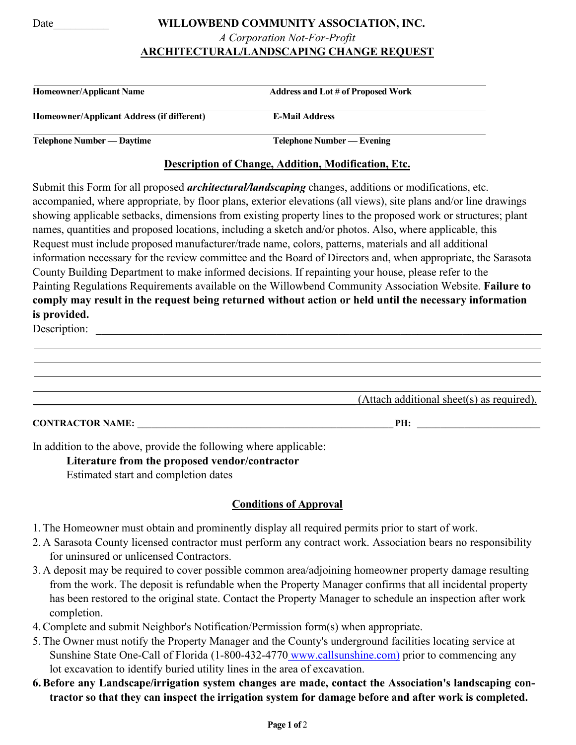## Date **WILLOWBEND COMMUNITY ASSOCIATION, INC.** *A Corporation Not-For-Profit*  **ARCHITECTURAL/LANDSCAPING CHANGE REQUEST**

| <b>Homeowner/Applicant Name</b>            | <b>Address and Lot # of Proposed Work</b> |  |
|--------------------------------------------|-------------------------------------------|--|
| Homeowner/Applicant Address (if different) | <b>E-Mail Address</b>                     |  |
| Telephone Number — Davtime                 | Telephone Number — Evening                |  |

### **Description of Change, Addition, Modification, Etc.**

Submit this Form for all proposed *architectural/landscaping* changes, additions or modifications, etc. accompanied, where appropriate, by floor plans, exterior elevations (all views), site plans and/or line drawings showing applicable setbacks, dimensions from existing property lines to the proposed work or structures; plant names, quantities and proposed locations, including a sketch and/or photos. Also, where applicable, this Request must include proposed manufacturer/trade name, colors, patterns, materials and all additional information necessary for the review committee and the Board of Directors and, when appropriate, the Sarasota County Building Department to make informed decisions. If repainting your house, please refer to the Painting Regulations Requirements available on the Willowbend Community Association Website. **Failure to comply may result in the request being returned without action or held until the necessary information is provided.**

Description: \_\_\_\_\_\_\_\_\_\_\_\_\_\_\_\_\_\_\_\_\_\_\_\_\_\_\_\_\_\_\_\_\_\_\_\_\_\_\_\_\_\_\_\_\_\_\_\_\_\_\_\_\_\_\_\_\_\_\_\_\_\_\_\_\_\_\_\_\_\_\_\_\_\_\_\_\_\_\_



In addition to the above, provide the following where applicable:

# **Literature from the proposed vendor/contractor**

Estimated start and completion dates

# **Conditions of Approval**

- 1.The Homeowner must obtain and prominently display all required permits prior to start of work.
- 2. A Sarasota County licensed contractor must perform any contract work. Association bears no responsibility for uninsured or unlicensed Contractors.
- 3. A deposit may be required to cover possible common area/adjoining homeowner property damage resulting from the work. The deposit is refundable when the Property Manager confirms that all incidental property has been restored to the original state. Contact the Property Manager to schedule an inspection after work completion.
- 4.Complete and submit Neighbor's Notification/Permission form(s) when appropriate.
- 5.The Owner must notify the Property Manager and the County's underground facilities locating service at Sunshine State One-Call of Florida (1-800-432-477[0 www.callsunshine.com\)](http://www.callsunshine.com/) prior to commencing any lot excavation to identify buried utility lines in the area of excavation.
- **6.Before any Landscape/irrigation system changes are made, contact the Association's landscaping contractor so that they can inspect the irrigation system for damage before and after work is completed.**